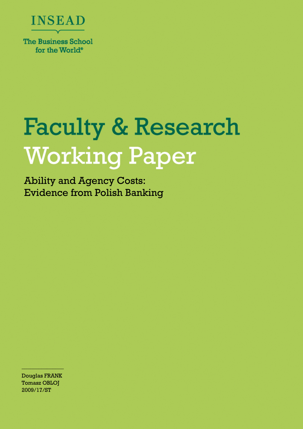

**Faculty & Research Working Paper** 

Ability and Agency Costs: Evidence from Polish Banking

Douglas FRANK Tomasz OBLOJ 2009/17/ST

 $-\frac{1}{2}$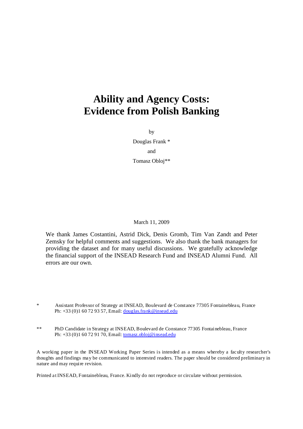## **Ability and Agency Costs: Evidence from Polish Banking**

by

Douglas Frank \* and Tomasz Obloj\*\*

March 11, 2009

We thank James Costantini, Astrid Dick, Denis Gromb, Tim Van Zandt and Peter Zemsky for helpful comments and suggestions. We also thank the bank managers for providing the dataset and for many useful discussions. We gratefully acknowledge the financial support of the INSEAD Research Fund and INSEAD Alumni Fund. All errors are our own.

- Assistant Professor of Strategy at INSEAD, Boulevard de Constance 77305 Fontainebleau, France Ph: +33 (0)1 60 72 93 57, Email: douglas.frank@insead.edu
- \*\* PhD Candidate in Strategy at INSEAD, Boulevard de Constance 77305 Fontainebleau, France Ph: +33 (0)1 60 72 91 70, Email: tomasz.obloj@insead.edu

A working paper in the INSEAD Working Paper Series is intended as a means whereby a faculty researcher's thoughts and findings may be communicated to interested readers. The paper should be considered preliminary in nature and may require revision.

Printed at INSEAD, Fontainebleau, France. Kindly do not reproduce or circulate without permission.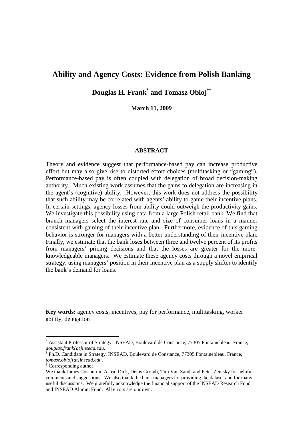### **Ability and Agency Costs: Evidence from Polish Banking**

**Douglas H. Frank\* and Tomasz Obloj†‡**

**March 11, 2009** 

### **ABSTRACT**

Theory and evidence suggest that performance-based pay can increase productive effort but may also give rise to distorted effort choices (multitasking or "gaming"). Performance-based pay is often coupled with delegation of broad decision-making authority. Much existing work assumes that the gains to delegation are increasing in the agent's (cognitive) ability. However, this work does not address the possibility that such ability may be correlated with agents' ability to game their incentive plans. In certain settings, agency losses from ability could outweigh the productivity gains. We investigate this possibility using data from a large Polish retail bank. We find that branch managers select the interest rate and size of consumer loans in a manner consistent with gaming of their incentive plan. Furthermore, evidence of this gaming behavior is stronger for managers with a better understanding of their incentive plan. Finally, we estimate that the bank loses between three and twelve percent of its profits from managers' pricing decisions and that the losses are greater for the moreknowledgeable managers. We estimate these agency costs through a novel empirical strategy, using managers' position in their incentive plan as a supply shifter to identify the bank's demand for loans.

**Key words:** agency costs, incentives, pay for performance, multitasking, worker ability, delegation

 $\overline{a}$ 

<sup>\*</sup> Assistant Professor of Strategy, INSEAD, Boulevard de Constance, 77305 Fontainebleau, France, *douglas.frank{at}insead.edu*.

<sup>†</sup> Ph.D. Candidate in Strategy, INSEAD, Boulevard de Constance, 77305 Fontainebleau, France, *tomasz.obloj{at}insead.edu*.

<sup>‡</sup> Corresponding author.

We thank James Costantini, Astrid Dick, Denis Gromb, Tim Van Zandt and Peter Zemsky for helpful comments and suggestions. We also thank the bank managers for providing the dataset and for many useful discussions. We gratefully acknowledge the financial support of the INSEAD Research Fund and INSEAD Alumni Fund. All errors are our own.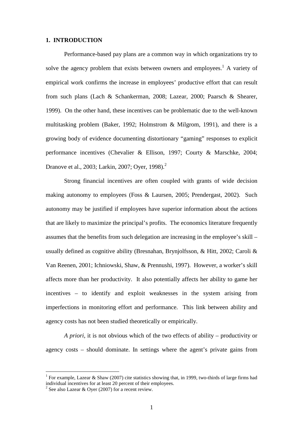### **1. INTRODUCTION**

Performance-based pay plans are a common way in which organizations try to solve the agency problem that exists between owners and employees.<sup>1</sup> A variety of empirical work confirms the increase in employees' productive effort that can result from such plans (Lach & Schankerman, 2008; Lazear, 2000; Paarsch & Shearer, 1999). On the other hand, these incentives can be problematic due to the well-known multitasking problem (Baker, 1992; Holmstrom & Milgrom, 1991), and there is a growing body of evidence documenting distortionary "gaming" responses to explicit performance incentives (Chevalier & Ellison, 1997; Courty & Marschke, 2004; Dranove et al., 2003; Larkin, 2007; Oyer, 1998).<sup>2</sup>

Strong financial incentives are often coupled with grants of wide decision making autonomy to employees (Foss & Laursen, 2005; Prendergast, 2002). Such autonomy may be justified if employees have superior information about the actions that are likely to maximize the principal's profits. The economics literature frequently assumes that the benefits from such delegation are increasing in the employee's skill – usually defined as cognitive ability (Bresnahan, Brynjolfsson, & Hitt, 2002; Caroli & Van Reenen, 2001; Ichniowski, Shaw, & Prennushi, 1997). However, a worker's skill affects more than her productivity. It also potentially affects her ability to game her incentives – to identify and exploit weaknesses in the system arising from imperfections in monitoring effort and performance. This link between ability and agency costs has not been studied theoretically or empirically.

*A priori*, it is not obvious which of the two effects of ability – productivity or agency costs – should dominate. In settings where the agent's private gains from

 $\overline{a}$ 

<sup>&</sup>lt;sup>1</sup> For example, Lazear & Shaw (2007) cite statistics showing that, in 1999, two-thirds of large firms had individual incentives for at least 20 percent of their employees.

<sup>&</sup>lt;sup>2</sup> See also Lazear & Oyer (2007) for a recent review.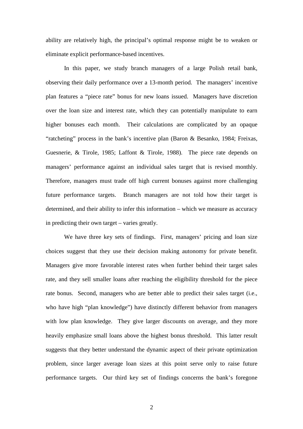ability are relatively high, the principal's optimal response might be to weaken or eliminate explicit performance-based incentives.

In this paper, we study branch managers of a large Polish retail bank, observing their daily performance over a 13-month period. The managers' incentive plan features a "piece rate" bonus for new loans issued. Managers have discretion over the loan size and interest rate, which they can potentially manipulate to earn higher bonuses each month. Their calculations are complicated by an opaque "ratcheting" process in the bank's incentive plan (Baron & Besanko, 1984; Freixas, Guesnerie, & Tirole, 1985; Laffont & Tirole, 1988). The piece rate depends on managers' performance against an individual sales target that is revised monthly. Therefore, managers must trade off high current bonuses against more challenging future performance targets. Branch managers are not told how their target is determined, and their ability to infer this information – which we measure as accuracy in predicting their own target – varies greatly.

We have three key sets of findings. First, managers' pricing and loan size choices suggest that they use their decision making autonomy for private benefit. Managers give more favorable interest rates when further behind their target sales rate, and they sell smaller loans after reaching the eligibility threshold for the piece rate bonus. Second, managers who are better able to predict their sales target (i.e., who have high "plan knowledge") have distinctly different behavior from managers with low plan knowledge. They give larger discounts on average, and they more heavily emphasize small loans above the highest bonus threshold. This latter result suggests that they better understand the dynamic aspect of their private optimization problem, since larger average loan sizes at this point serve only to raise future performance targets. Our third key set of findings concerns the bank's foregone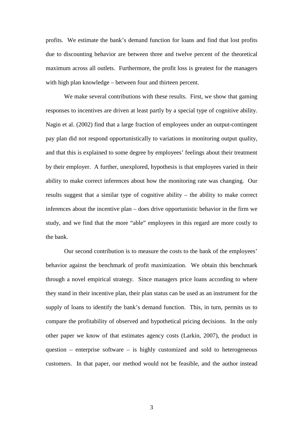profits. We estimate the bank's demand function for loans and find that lost profits due to discounting behavior are between three and twelve percent of the theoretical maximum across all outlets. Furthermore, the profit loss is greatest for the managers with high plan knowledge – between four and thirteen percent.

We make several contributions with these results. First, we show that gaming responses to incentives are driven at least partly by a special type of cognitive ability. Nagin et al. (2002) find that a large fraction of employees under an output-contingent pay plan did not respond opportunistically to variations in monitoring output quality, and that this is explained to some degree by employees' feelings about their treatment by their employer. A further, unexplored, hypothesis is that employees varied in their ability to make correct inferences about how the monitoring rate was changing. Our results suggest that a similar type of cognitive ability – the ability to make correct inferences about the incentive plan – does drive opportunistic behavior in the firm we study, and we find that the more "able" employees in this regard are more costly to the bank.

Our second contribution is to measure the costs to the bank of the employees' behavior against the benchmark of profit maximization. We obtain this benchmark through a novel empirical strategy. Since managers price loans according to where they stand in their incentive plan, their plan status can be used as an instrument for the supply of loans to identify the bank's demand function. This, in turn, permits us to compare the profitability of observed and hypothetical pricing decisions. In the only other paper we know of that estimates agency costs (Larkin, 2007), the product in question – enterprise software – is highly customized and sold to heterogeneous customers. In that paper, our method would not be feasible, and the author instead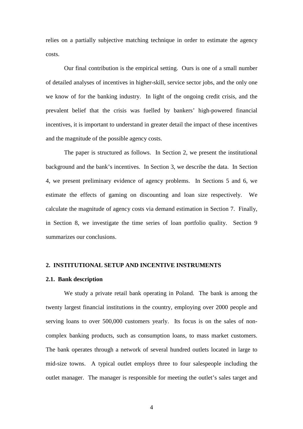relies on a partially subjective matching technique in order to estimate the agency costs.

Our final contribution is the empirical setting. Ours is one of a small number of detailed analyses of incentives in higher-skill, service sector jobs, and the only one we know of for the banking industry. In light of the ongoing credit crisis, and the prevalent belief that the crisis was fuelled by bankers' high-powered financial incentives, it is important to understand in greater detail the impact of these incentives and the magnitude of the possible agency costs.

The paper is structured as follows. In Section 2, we present the institutional background and the bank's incentives. In Section 3, we describe the data. In Section 4, we present preliminary evidence of agency problems. In Sections 5 and 6, we estimate the effects of gaming on discounting and loan size respectively. We calculate the magnitude of agency costs via demand estimation in Section 7. Finally, in Section 8, we investigate the time series of loan portfolio quality. Section 9 summarizes our conclusions.

### **2. INSTITUTIONAL SETUP AND INCENTIVE INSTRUMENTS**

### **2.1. Bank description**

We study a private retail bank operating in Poland. The bank is among the twenty largest financial institutions in the country, employing over 2000 people and serving loans to over 500,000 customers yearly. Its focus is on the sales of noncomplex banking products, such as consumption loans, to mass market customers. The bank operates through a network of several hundred outlets located in large to mid-size towns. A typical outlet employs three to four salespeople including the outlet manager. The manager is responsible for meeting the outlet's sales target and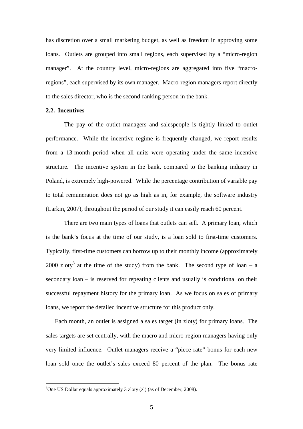has discretion over a small marketing budget, as well as freedom in approving some loans. Outlets are grouped into small regions, each supervised by a "micro-region manager". At the country level, micro-regions are aggregated into five "macroregions", each supervised by its own manager. Macro-region managers report directly to the sales director, who is the second-ranking person in the bank.

### **2.2. Incentives**

 $\overline{a}$ 

The pay of the outlet managers and salespeople is tightly linked to outlet performance. While the incentive regime is frequently changed, we report results from a 13-month period when all units were operating under the same incentive structure. The incentive system in the bank, compared to the banking industry in Poland, is extremely high-powered. While the percentage contribution of variable pay to total remuneration does not go as high as in, for example, the software industry (Larkin, 2007)*,* throughout the period of our study it can easily reach 60 percent.

There are two main types of loans that outlets can sell. A primary loan, which is the bank's focus at the time of our study, is a loan sold to first-time customers. Typically, first-time customers can borrow up to their monthly income (approximately 2000 zloty<sup>3</sup> at the time of the study) from the bank. The second type of loan – a secondary loan – is reserved for repeating clients and usually is conditional on their successful repayment history for the primary loan. As we focus on sales of primary loans, we report the detailed incentive structure for this product only.

Each month, an outlet is assigned a sales target (in zloty) for primary loans. The sales targets are set centrally, with the macro and micro-region managers having only very limited influence. Outlet managers receive a "piece rate" bonus for each new loan sold once the outlet's sales exceed 80 percent of the plan. The bonus rate

<sup>&</sup>lt;sup>3</sup>One US Dollar equals approximately 3 zloty (zl) (as of December, 2008).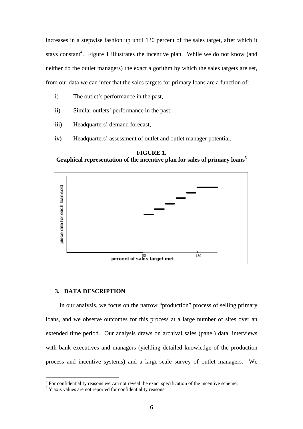increases in a stepwise fashion up until 130 percent of the sales target, after which it stays constant<sup>4</sup>. Figure 1 illustrates the incentive plan. While we do not know (and neither do the outlet managers) the exact algorithm by which the sales targets are set, from our data we can infer that the sales targets for primary loans are a function of:

- i) The outlet's performance in the past,
- ii) Similar outlets' performance in the past,
- iii) Headquarters' demand forecast,
- **iv)** Headquarters' assessment of outlet and outlet manager potential.

**FIGURE 1. Graphical representation of the incentive plan for sales of primary loans<sup>5</sup>**



### **3. DATA DESCRIPTION**

In our analysis, we focus on the narrow "production" process of selling primary loans, and we observe outcomes for this process at a large number of sites over an extended time period. Our analysis draws on archival sales (panel) data, interviews with bank executives and managers (yielding detailed knowledge of the production process and incentive systems) and a large-scale survey of outlet managers. We

 4 For confidentiality reasons we can not reveal the exact specification of the incentive scheme.

 $5$  Y axis values are not reported for confidentiality reasons.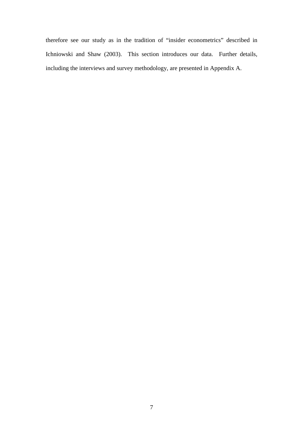therefore see our study as in the tradition of "insider econometrics" described in Ichniowski and Shaw (2003). This section introduces our data. Further details, including the interviews and survey methodology, are presented in Appendix A.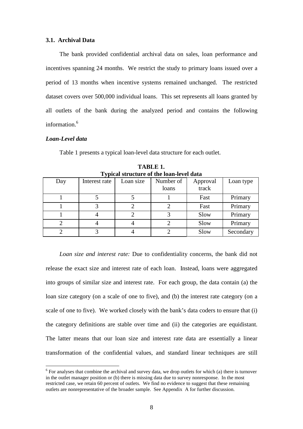### **3.1. Archival Data**

The bank provided confidential archival data on sales, loan performance and incentives spanning 24 months. We restrict the study to primary loans issued over a period of 13 months when incentive systems remained unchanged. The restricted dataset covers over 500,000 individual loans. This set represents all loans granted by all outlets of the bank during the analyzed period and contains the following information.<sup>6</sup>

### *Loan-Level data*

 $\overline{a}$ 

Table 1 presents a typical loan-level data structure for each outlet.

|     | Typical su ucture of the ioan-level data |           |                    |                   |           |  |  |  |  |
|-----|------------------------------------------|-----------|--------------------|-------------------|-----------|--|--|--|--|
| Day | Interest rate                            | Loan size | Number of<br>loans | Approval<br>track | Loan type |  |  |  |  |
|     |                                          |           |                    | Fast              | Primary   |  |  |  |  |
|     |                                          |           |                    | Fast              | Primary   |  |  |  |  |
|     |                                          |           |                    | Slow              | Primary   |  |  |  |  |
|     |                                          |           |                    | Slow              | Primary   |  |  |  |  |
|     |                                          |           |                    | Slow              | Secondary |  |  |  |  |

**TABLE 1. Typical structure of the loan-level data** 

*Loan size and interest rate:* Due to confidentiality concerns, the bank did not release the exact size and interest rate of each loan. Instead, loans were aggregated into groups of similar size and interest rate. For each group, the data contain (a) the loan size category (on a scale of one to five), and (b) the interest rate category (on a scale of one to five). We worked closely with the bank's data coders to ensure that (i) the category definitions are stable over time and (ii) the categories are equidistant. The latter means that our loan size and interest rate data are essentially a linear transformation of the confidential values, and standard linear techniques are still

 $6$  For analyses that combine the archival and survey data, we drop outlets for which (a) there is turnover in the outlet manager position or (b) there is missing data due to survey nonresponse. In the most restricted case, we retain 60 percent of outlets. We find no evidence to suggest that these remaining outlets are nonrepresentative of the broader sample. See Appendix A for further discussion.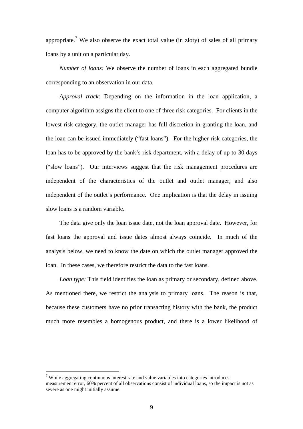appropriate.<sup>7</sup> We also observe the exact total value (in zloty) of sales of all primary loans by a unit on a particular day.

*Number of loans:* We observe the number of loans in each aggregated bundle corresponding to an observation in our data.

*Approval track:* Depending on the information in the loan application, a computer algorithm assigns the client to one of three risk categories. For clients in the lowest risk category, the outlet manager has full discretion in granting the loan, and the loan can be issued immediately ("fast loans"). For the higher risk categories, the loan has to be approved by the bank's risk department, with a delay of up to 30 days ("slow loans"). Our interviews suggest that the risk management procedures are independent of the characteristics of the outlet and outlet manager, and also independent of the outlet's performance. One implication is that the delay in issuing slow loans is a random variable.

The data give only the loan issue date, not the loan approval date. However, for fast loans the approval and issue dates almost always coincide. In much of the analysis below, we need to know the date on which the outlet manager approved the loan. In these cases, we therefore restrict the data to the fast loans.

*Loan type:* This field identifies the loan as primary or secondary, defined above. As mentioned there, we restrict the analysis to primary loans. The reason is that, because these customers have no prior transacting history with the bank, the product much more resembles a homogenous product, and there is a lower likelihood of

 $\overline{a}$ 

 $7$  While aggregating continuous interest rate and value variables into categories introduces measurement error, 60% percent of all observations consist of individual loans, so the impact is not as severe as one might initially assume.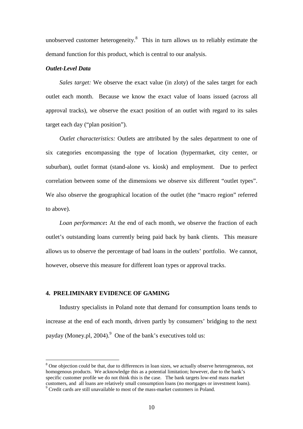unobserved customer heterogeneity. $8$  This in turn allows us to reliably estimate the demand function for this product, which is central to our analysis.

### *Outlet-Level Data*

*Sales target:* We observe the exact value (in zloty) of the sales target for each outlet each month. Because we know the exact value of loans issued (across all approval tracks), we observe the exact position of an outlet with regard to its sales target each day ("plan position").

*Outlet characteristics:* Outlets are attributed by the sales department to one of six categories encompassing the type of location (hypermarket, city center, or suburban), outlet format (stand-alone vs. kiosk) and employment. Due to perfect correlation between some of the dimensions we observe six different "outlet types". We also observe the geographical location of the outlet (the "macro region" referred to above).

*Loan performance***:** At the end of each month, we observe the fraction of each outlet's outstanding loans currently being paid back by bank clients. This measure allows us to observe the percentage of bad loans in the outlets' portfolio. We cannot, however, observe this measure for different loan types or approval tracks.

### **4. PRELIMINARY EVIDENCE OF GAMING**

 $\overline{a}$ 

Industry specialists in Poland note that demand for consumption loans tends to increase at the end of each month, driven partly by consumers' bridging to the next payday (Money.pl, 2004).<sup>9</sup> One of the bank's executives told us:

<sup>&</sup>lt;sup>8</sup> One objection could be that, due to differences in loan sizes, we actually observe heterogeneous, not homogenous products. We acknowledge this as a potential limitation; however, due to the bank's specific customer profile we do not think this is the case. The bank targets low-end mass market customers, and all loans are relatively small consumption loans (no mortgages or investment loans). 9 Credit cards are still unavailable to most of the mass-market customers in Poland.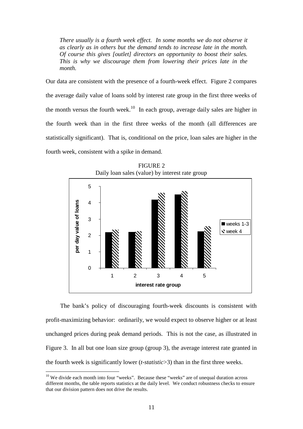*There usually is a fourth week effect. In some months we do not observe it as clearly as in others but the demand tends to increase late in the month. Of course this gives [outlet] directors an opportunity to boost their sales. This is why we discourage them from lowering their prices late in the month.* 

Our data are consistent with the presence of a fourth-week effect. Figure 2 compares the average daily value of loans sold by interest rate group in the first three weeks of the month versus the fourth week.<sup>10</sup> In each group, average daily sales are higher in the fourth week than in the first three weeks of the month (all differences are statistically significant). That is, conditional on the price, loan sales are higher in the fourth week, consistent with a spike in demand.



FIGURE 2

The bank's policy of discouraging fourth-week discounts is consistent with profit-maximizing behavior: ordinarily, we would expect to observe higher or at least unchanged prices during peak demand periods. This is not the case, as illustrated in Figure 3. In all but one loan size group (group 3), the average interest rate granted in the fourth week is significantly lower (*t-statistic*>3) than in the first three weeks.

 $\overline{a}$ 

 $10$  We divide each month into four "weeks". Because these "weeks" are of unequal duration across different months, the table reports statistics at the daily level. We conduct robustness checks to ensure that our division pattern does not drive the results.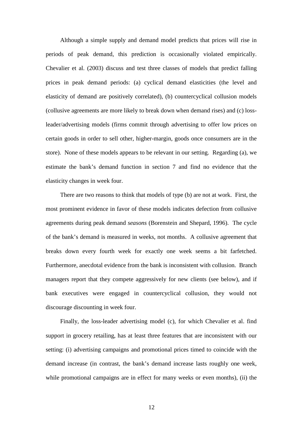Although a simple supply and demand model predicts that prices will rise in periods of peak demand, this prediction is occasionally violated empirically. Chevalier et al. (2003) discuss and test three classes of models that predict falling prices in peak demand periods: (a) cyclical demand elasticities (the level and elasticity of demand are positively correlated), (b) countercyclical collusion models (collusive agreements are more likely to break down when demand rises) and (c) lossleader/advertising models (firms commit through advertising to offer low prices on certain goods in order to sell other, higher-margin, goods once consumers are in the store). None of these models appears to be relevant in our setting. Regarding (a), we estimate the bank's demand function in section 7 and find no evidence that the elasticity changes in week four.

There are two reasons to think that models of type (b) are not at work. First, the most prominent evidence in favor of these models indicates defection from collusive agreements during peak demand *seasons* (Borenstein and Shepard, 1996). The cycle of the bank's demand is measured in weeks, not months. A collusive agreement that breaks down every fourth week for exactly one week seems a bit farfetched. Furthermore, anecdotal evidence from the bank is inconsistent with collusion. Branch managers report that they compete aggressively for new clients (see below), and if bank executives were engaged in countercyclical collusion, they would not discourage discounting in week four.

Finally, the loss-leader advertising model (c), for which Chevalier et al. find support in grocery retailing, has at least three features that are inconsistent with our setting: (i) advertising campaigns and promotional prices timed to coincide with the demand increase (in contrast, the bank's demand increase lasts roughly one week, while promotional campaigns are in effect for many weeks or even months), (ii) the

12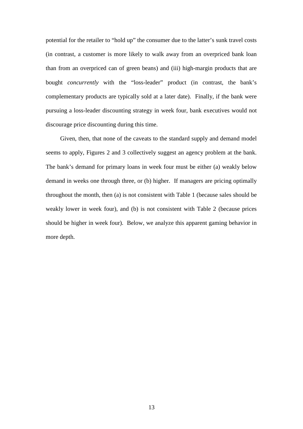potential for the retailer to "hold up" the consumer due to the latter's sunk travel costs (in contrast, a customer is more likely to walk away from an overpriced bank loan than from an overpriced can of green beans) and (iii) high-margin products that are bought *concurrently* with the "loss-leader" product (in contrast, the bank's complementary products are typically sold at a later date). Finally, if the bank were pursuing a loss-leader discounting strategy in week four, bank executives would not discourage price discounting during this time.

Given, then, that none of the caveats to the standard supply and demand model seems to apply, Figures 2 and 3 collectively suggest an agency problem at the bank. The bank's demand for primary loans in week four must be either (a) weakly below demand in weeks one through three, or (b) higher. If managers are pricing optimally throughout the month, then (a) is not consistent with Table 1 (because sales should be weakly lower in week four), and (b) is not consistent with Table 2 (because prices should be higher in week four). Below, we analyze this apparent gaming behavior in more depth.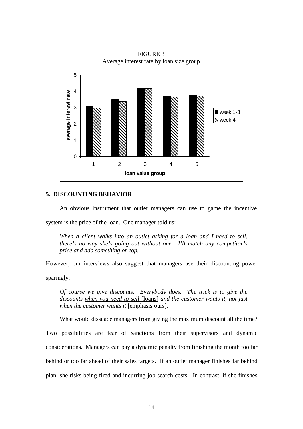

FIGURE 3 Average interest rate by loan size group

### **5. DISCOUNTING BEHAVIOR**

An obvious instrument that outlet managers can use to game the incentive

system is the price of the loan. One manager told us:

*When a client walks into an outlet asking for a loan and I need to sell, there's no way she's going out without one. I'll match any competitor's price and add something on top.* 

However, our interviews also suggest that managers use their discounting power

sparingly:

*Of course we give discounts. Everybody does. The trick is to give the discounts when you need to sell* [loans] *and the customer wants it, not just when the customer wants it* [emphasis ours]*.* 

What would dissuade managers from giving the maximum discount all the time?

Two possibilities are fear of sanctions from their supervisors and dynamic considerations. Managers can pay a dynamic penalty from finishing the month too far behind or too far ahead of their sales targets. If an outlet manager finishes far behind plan, she risks being fired and incurring job search costs. In contrast, if she finishes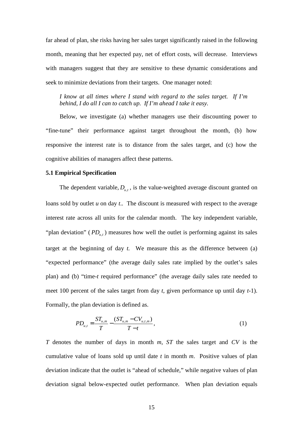far ahead of plan, she risks having her sales target significantly raised in the following month, meaning that her expected pay, net of effort costs, will decrease. Interviews with managers suggest that they are sensitive to these dynamic considerations and seek to minimize deviations from their targets. One manager noted:

*I know at all times where I stand with regard to the sales target. If I'm behind, I do all I can to catch up. If I'm ahead I take it easy.* 

Below, we investigate (a) whether managers use their discounting power to "fine-tune" their performance against target throughout the month, (b) how responsive the interest rate is to distance from the sales target, and (c) how the cognitive abilities of managers affect these patterns.

### **5.1 Empirical Specification**

The dependent variable,  $D_{u,t}$ , is the value-weighted average discount granted on loans sold by outlet *u* on day *t*.. The discount is measured with respect to the average interest rate across all units for the calendar month. The key independent variable, "plan deviation" ( $PD_{u,t}$ ) measures how well the outlet is performing against its sales target at the beginning of day *t.* We measure this as the difference between (a) "expected performance" (the average daily sales rate implied by the outlet's sales plan) and (b) "time-*t* required performance" (the average daily sales rate needed to meet 100 percent of the sales target from day *t*, given performance up until day *t*-1). Formally, the plan deviation is defined as.

$$
PD_{u,t} = \frac{ST_{u,m}}{T} - \frac{(ST_{u,m} - CV_{u,t,m})}{T - t},
$$
\n(1)

*T* denotes the number of days in month *m*, *ST* the sales target and *CV* is the cumulative value of loans sold up until date *t* in month *m*. Positive values of plan deviation indicate that the outlet is "ahead of schedule," while negative values of plan deviation signal below-expected outlet performance. When plan deviation equals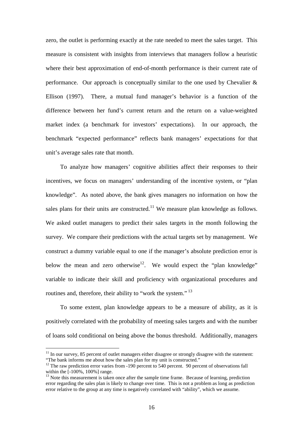zero, the outlet is performing exactly at the rate needed to meet the sales target. This measure is consistent with insights from interviews that managers follow a heuristic where their best approximation of end-of-month performance is their current rate of performance. Our approach is conceptually similar to the one used by Chevalier  $\&$ Ellison (1997). There, a mutual fund manager's behavior is a function of the difference between her fund's current return and the return on a value-weighted market index (a benchmark for investors' expectations). In our approach, the benchmark "expected performance" reflects bank managers' expectations for that unit's average sales rate that month.

To analyze how managers' cognitive abilities affect their responses to their incentives, we focus on managers' understanding of the incentive system, or "plan knowledge". As noted above, the bank gives managers no information on how the sales plans for their units are constructed.<sup>11</sup> We measure plan knowledge as follows. We asked outlet managers to predict their sales targets in the month following the survey. We compare their predictions with the actual targets set by management. We construct a dummy variable equal to one if the manager's absolute prediction error is below the mean and zero otherwise<sup>12</sup>. We would expect the "plan knowledge" variable to indicate their skill and proficiency with organizational procedures and routines and, therefore, their ability to "work the system."<sup>13</sup>

To some extent, plan knowledge appears to be a measure of ability, as it is positively correlated with the probability of meeting sales targets and with the number of loans sold conditional on being above the bonus threshold. Additionally, managers

 $\overline{a}$ 

 $11$  In our survey, 85 percent of outlet managers either disagree or strongly disagree with the statement: "The bank informs me about how the sales plan for my unit is constructed."

 $12$  The raw prediction error varies from -190 percent to 540 percent. 90 percent of observations fall within the [-100%, 100%] range.

<sup>&</sup>lt;sup>13</sup> Note this measurement is taken once after the sample time frame. Because of learning, prediction error regarding the sales plan is likely to change over time. This is not a problem as long as prediction error relative to the group at any time is negatively correlated with "ability", which we assume.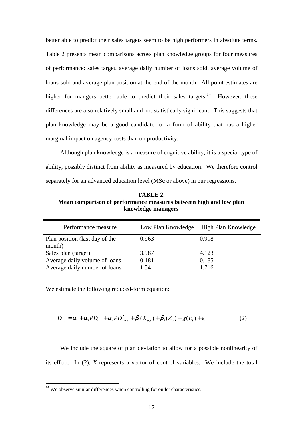better able to predict their sales targets seem to be high performers in absolute terms. Table 2 presents mean comparisons across plan knowledge groups for four measures of performance: sales target, average daily number of loans sold, average volume of loans sold and average plan position at the end of the month. All point estimates are higher for mangers better able to predict their sales targets.<sup>14</sup> However, these differences are also relatively small and not statistically significant. This suggests that plan knowledge may be a good candidate for a form of ability that has a higher marginal impact on agency costs than on productivity.

Although plan knowledge is a measure of cognitive ability, it is a special type of ability, possibly distinct from ability as measured by education. We therefore control separately for an advanced education level (MSc or above) in our regressions.

**TABLE 2. Mean comparison of performance measures between high and low plan knowledge managers** 

| Performance measure            | Low Plan Knowledge | High Plan Knowledge |
|--------------------------------|--------------------|---------------------|
| Plan position (last day of the | 0.963              | 0.998               |
| month)                         |                    |                     |
| Sales plan (target)            | 3.987              | 4.123               |
| Average daily volume of loans  | 0.181              | 0.185               |
| Average daily number of loans  | 1.54               | 1.716               |

We estimate the following reduced-form equation:

$$
D_{u,t} = \alpha_1 + \alpha_2 PD_{u,t} + \alpha_2 PD_{u,t}^2 + \beta_1(X_{u,t}) + \beta_2(Z_u) + \chi(E_t) + \varepsilon_{u,t}
$$
 (2)

We include the square of plan deviation to allow for a possible nonlinearity of its effect. In (2), *X* represents a vector of control variables. We include the total

 $\overline{a}$ 

 $14$  We observe similar differences when controlling for outlet characteristics.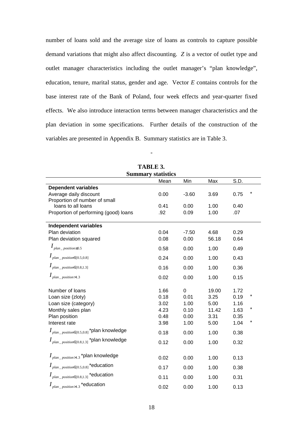number of loans sold and the average size of loans as controls to capture possible demand variations that might also affect discounting. *Z* is a vector of outlet type and outlet manager characteristics including the outlet manager's "plan knowledge", education, tenure, marital status, gender and age. Vector *E* contains controls for the base interest rate of the Bank of Poland, four week effects and year-quarter fixed effects. We also introduce interaction terms between manager characteristics and the plan deviation in some specifications. Further details of the construction of the variables are presented in Appendix B. Summary statistics are in Table 3.

| <b>Summary statistics</b>                                            |      |         |       |      |         |  |
|----------------------------------------------------------------------|------|---------|-------|------|---------|--|
|                                                                      | Mean | Min     | Max   | S.D. |         |  |
| <b>Dependent variables</b>                                           |      |         |       |      |         |  |
| Average daily discount                                               | 0.00 | $-3.60$ | 3.69  | 0.75 | $\star$ |  |
| Proportion of number of small                                        |      |         |       |      |         |  |
| loans to all loans                                                   | 0.41 | 0.00    | 1.00  | 0.40 |         |  |
| Proportion of performing (good) loans                                | .92  | 0.09    | 1.00  | .07  |         |  |
| <b>Independent variables</b>                                         |      |         |       |      |         |  |
| Plan deviation                                                       | 0.04 | $-7.50$ | 4.68  | 0.29 |         |  |
| Plan deviation squared                                               | 0.08 | 0.00    | 56.18 | 0.64 |         |  |
| $I_{plan\_position \leq 0.5}$                                        | 0.58 | 0.00    | 1.00  | 0.49 |         |  |
| $I_{plan\_position \in (0.5,0.8]}$                                   | 0.24 | 0.00    | 1.00  | 0.43 |         |  |
| $I_{plan\_position \in (0.8, 1.3]}$                                  | 0.16 | 0.00    | 1.00  | 0.36 |         |  |
| $I_{plan\_position>1.3}$                                             | 0.02 | 0.00    | 1.00  | 0.15 |         |  |
| Number of loans                                                      | 1.66 | 0       | 19.00 | 1.72 |         |  |
| Loan size (zloty)                                                    | 0.18 | 0.01    | 3.25  | 0.19 |         |  |
| Loan size (category)                                                 | 3.02 | 1.00    | 5.00  | 1.16 |         |  |
| Monthly sales plan                                                   | 4.23 | 0.10    | 11.42 | 1.63 |         |  |
| Plan position                                                        | 0.48 | 0.00    | 3.31  | 0.35 |         |  |
| Interest rate                                                        | 3.98 | 1.00    | 5.00  | 1.04 | $\star$ |  |
| $I_{plan\_position \in (0.5,0.8]}$ *plan knowledge                   | 0.18 | 0.00    | 1.00  | 0.38 |         |  |
| $I_{\textit{plan}_\textit{position} \in (0.8, 1.3]}$ *plan knowledge | 0.12 | 0.00    | 1.00  | 0.32 |         |  |
| $I_{plan\_position>1.3}$ *plan knowledge                             | 0.02 | 0.00    | 1.00  | 0.13 |         |  |
| $I_{plan\_position \in (0.5,0.8]}$ *education                        | 0.17 | 0.00    | 1.00  | 0.38 |         |  |
| $I_{plan\_position \in (0.8,1.3]}$ *education                        | 0.11 | 0.00    | 1.00  | 0.31 |         |  |
| $I_{plan\_position>1.3}$ *education                                  | 0.02 | 0.00    | 1.00  | 0.13 |         |  |

**TABLE 3.** 

-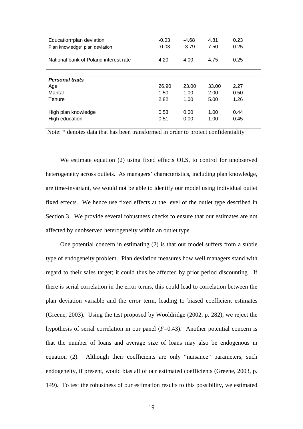| Education*plan deviation<br>Plan knowledge* plan deviation | $-0.03$<br>$-0.03$ | $-4.68$<br>$-3.79$ | 4.81<br>7.50 | 0.23<br>0.25 |
|------------------------------------------------------------|--------------------|--------------------|--------------|--------------|
| National bank of Poland interest rate                      | 4.20               | 4.00               | 4.75         | 0.25         |
|                                                            |                    |                    |              |              |
| <b>Personal traits</b>                                     |                    |                    |              |              |
| Age                                                        | 26.90              | 23.00              | 33.00        | 2.27         |
| Marital                                                    | 1.50               | 1.00               | 2.00         | 0.50         |
| Tenure                                                     | 2.82               | 1.00               | 5.00         | 1.26         |
| High plan knowledge                                        | 0.53               | 0.00               | 1.00         | 0.44         |
| High education                                             | 0.51               | 0.00               | 1.00         | 0.45         |

Note: \* denotes data that has been transformed in order to protect confidentiality

We estimate equation (2) using fixed effects OLS, to control for unobserved heterogeneity across outlets. As managers' characteristics, including plan knowledge, are time-invariant, we would not be able to identify our model using individual outlet fixed effects. We hence use fixed effects at the level of the outlet type described in Section 3. We provide several robustness checks to ensure that our estimates are not affected by unobserved heterogeneity within an outlet type.

One potential concern in estimating (2) is that our model suffers from a subtle type of endogeneity problem. Plan deviation measures how well managers stand with regard to their sales target; it could thus be affected by prior period discounting. If there is serial correlation in the error terms, this could lead to correlation between the plan deviation variable and the error term, leading to biased coefficient estimates (Greene, 2003). Using the test proposed by Wooldridge (2002, p. 282), we reject the hypothesis of serial correlation in our panel (*F*=0.43). Another potential concern is that the number of loans and average size of loans may also be endogenous in equation (2). Although their coefficients are only "nuisance" parameters, such endogeneity, if present, would bias all of our estimated coefficients (Greene, 2003, p. 149). To test the robustness of our estimation results to this possibility, we estimated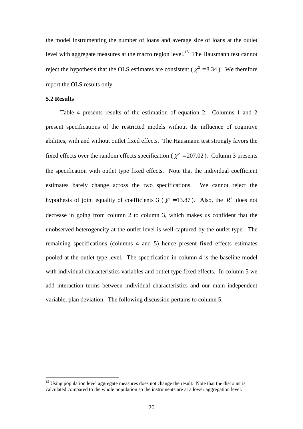the model instrumenting the number of loans and average size of loans at the outlet level with aggregate measures at the macro region level.<sup>15</sup> The Hausmann test cannot reject the hypothesis that the OLS estimates are consistent ( $\chi^2$  = 8.34). We therefore report the OLS results only.

### **5.2 Results**

 $\overline{a}$ 

Table 4 presents results of the estimation of equation 2. Columns 1 and 2 present specifications of the restricted models without the influence of cognitive abilities, with and without outlet fixed effects. The Hausmann test strongly favors the fixed effects over the random effects specification ( $\chi^2$  = 207.02). Column 3 presents the specification with outlet type fixed effects. Note that the individual coefficient estimates barely change across the two specifications. We cannot reject the hypothesis of joint equality of coefficients 3 ( $\chi^2$  = 13.87). Also, the  $R^2$  does not decrease in going from column 2 to column 3, which makes us confident that the unobserved heterogeneity at the outlet level is well captured by the outlet type. The remaining specifications (columns 4 and 5) hence present fixed effects estimates pooled at the outlet type level. The specification in column 4 is the baseline model with individual characteristics variables and outlet type fixed effects. In column 5 we add interaction terms between individual characteristics and our main independent variable, plan deviation. The following discussion pertains to column 5.

<sup>&</sup>lt;sup>15</sup> Using population level aggregate measures does not change the result. Note that the discount is calculated compared to the whole population so the instruments are at a lower aggregation level.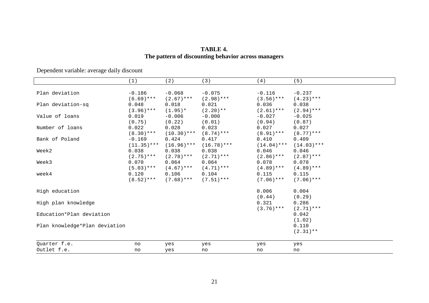| TABLE 4.                                            |
|-----------------------------------------------------|
| The pattern of discounting behavior across managers |

Dependent variable: average daily discount

|                               | (1)           | (2)           | (3)           | (4)           | (5)           |
|-------------------------------|---------------|---------------|---------------|---------------|---------------|
|                               |               |               |               |               |               |
| Plan deviation                | $-0.186$      | $-0.068$      | $-0.075$      | $-0.116$      | $-0.237$      |
|                               | $(6.69)$ ***  | $(2.67)$ ***  | $(2.98)$ ***  | $(3.56)$ ***  | $(4.23)$ ***  |
| Plan deviation-sq             | 0.048         | 0.018         | 0.021         | 0.036         | 0.038         |
|                               | $(3.96)$ ***  | $(1.95)*$     | $(2.20)**$    | $(2.61)$ ***  | $(2.94)$ ***  |
| Value of loans                | 0.019         | $-0.006$      | $-0.000$      | $-0.027$      | $-0.025$      |
|                               | (0.75)        | (0.22)        | (0.01)        | (0.94)        | (0.87)        |
| Number of loans               | 0.022         | 0.028         | 0.023         | 0.027         | 0.027         |
|                               | $(8.30)$ ***  | $(10.30)$ *** | $(8.74)$ ***  | $(8.91)$ ***  | $(8.77)$ ***  |
| Bank of Poland                | $-0.169$      | 0.424         | 0.417         | 0.410         | 0.409         |
|                               | $(11.35)$ *** | $(16.96)$ *** | $(16.78)$ *** | $(14.04)$ *** | $(14.03)$ *** |
| Week2                         | 0.038         | 0.038         | 0.038         | 0.046         | 0.046         |
|                               | $(2.75)$ ***  | $(2.78)$ ***  | $(2.71)$ ***  | $(2.86)$ ***  | $(2.87)$ ***  |
| Week3                         | 0.070         | 0.064         | 0.064         | 0.078         | 0.078         |
|                               | $(5.03)$ ***  | $(4.67)$ ***  | $(4.71)$ ***  | $(4.89)$ ***  | $(4.89)$ ***  |
| week4                         | 0.120         | 0.106         | 0.104         | 0.115         | 0.115         |
|                               | $(8.52)$ ***  | $(7.68)$ ***  | $(7.51)$ ***  | $(7.06)$ ***  | $(7.06)$ ***  |
| High education                |               |               |               | 0.006         | 0.004         |
|                               |               |               |               | (0.44)        | (0.29)        |
| High plan knowledge           |               |               |               | 0.321         | 0.286         |
|                               |               |               |               | $(3.76)$ ***  | $(2.71)$ ***  |
| Education*Plan deviation      |               |               |               |               | 0.042         |
|                               |               |               |               |               | (1.02)        |
| Plan knowledge*Plan deviation |               |               |               |               | 0.110         |
|                               |               |               |               |               | $(2.31)$ **   |
| Quarter f.e.                  | no            | yes           | yes           | yes           | yes           |
| Outlet f.e.                   | no            | yes           | no            | no            | no            |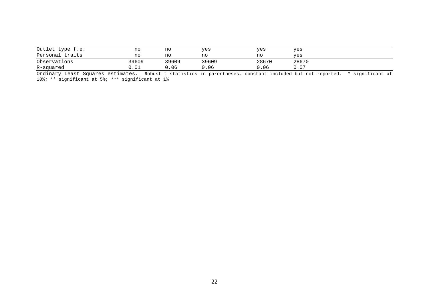| Outlet type f.e.<br>Personal traits | no<br>no | no<br>no | yes<br>no | yes<br>no | yes<br>yes |
|-------------------------------------|----------|----------|-----------|-----------|------------|
| Observations                        | 39609    | 39609    | 39609     | 28670     | 28670      |
| R-squared                           | 0.O1     | .06      | 0.06      | 0.06      | 0.07       |

Ordinary Least Squares estimates. Robust t statistics in parentheses, constant included but not reported. \* significant at<br>10%; \*\* significant at 5%; \*\*\* significant at 1%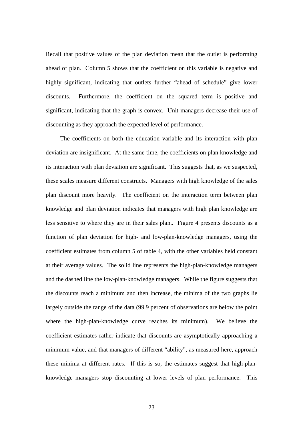Recall that positive values of the plan deviation mean that the outlet is performing ahead of plan. Column 5 shows that the coefficient on this variable is negative and highly significant, indicating that outlets further "ahead of schedule" give lower discounts. Furthermore, the coefficient on the squared term is positive and significant, indicating that the graph is convex. Unit managers decrease their use of discounting as they approach the expected level of performance.

The coefficients on both the education variable and its interaction with plan deviation are insignificant. At the same time, the coefficients on plan knowledge and its interaction with plan deviation are significant. This suggests that, as we suspected, these scales measure different constructs. Managers with high knowledge of the sales plan discount more heavily. The coefficient on the interaction term between plan knowledge and plan deviation indicates that managers with high plan knowledge are less sensitive to where they are in their sales plan.. Figure 4 presents discounts as a function of plan deviation for high- and low-plan-knowledge managers, using the coefficient estimates from column 5 of table 4, with the other variables held constant at their average values. The solid line represents the high-plan-knowledge managers and the dashed line the low-plan-knowledge managers. While the figure suggests that the discounts reach a minimum and then increase, the minima of the two graphs lie largely outside the range of the data (99.9 percent of observations are below the point where the high-plan-knowledge curve reaches its minimum). We believe the coefficient estimates rather indicate that discounts are asymptotically approaching a minimum value, and that managers of different "ability", as measured here, approach these minima at different rates. If this is so, the estimates suggest that high-planknowledge managers stop discounting at lower levels of plan performance. This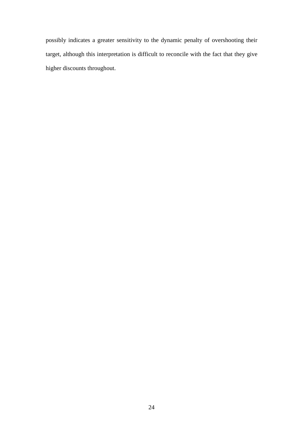possibly indicates a greater sensitivity to the dynamic penalty of overshooting their target, although this interpretation is difficult to reconcile with the fact that they give higher discounts throughout.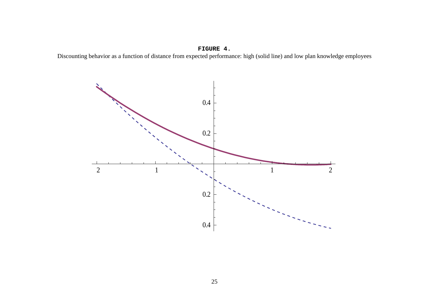### **FIGURE 4.**

Discounting behavior as a function of distance from expected performance: high (solid line) and low plan knowledge employees

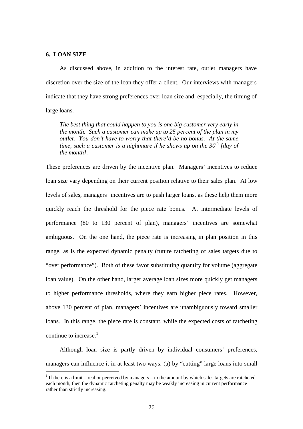### **6. LOAN SIZE**

 $\overline{a}$ 

As discussed above, in addition to the interest rate, outlet managers have discretion over the size of the loan they offer a client. Our interviews with managers indicate that they have strong preferences over loan size and, especially, the timing of large loans.

*The best thing that could happen to you is one big customer very early in the month. Such a customer can make up to 25 percent of the plan in my outlet. You don't have to worry that there'd be no bonus. At the same time, such a customer is a nightmare if he shows up on the 30th [day of the month].* 

These preferences are driven by the incentive plan. Managers' incentives to reduce loan size vary depending on their current position relative to their sales plan. At low levels of sales, managers' incentives are to push larger loans, as these help them more quickly reach the threshold for the piece rate bonus. At intermediate levels of performance (80 to 130 percent of plan), managers' incentives are somewhat ambiguous. On the one hand, the piece rate is increasing in plan position in this range, as is the expected dynamic penalty (future ratcheting of sales targets due to "over performance"). Both of these favor substituting quantity for volume (aggregate loan value). On the other hand, larger average loan sizes more quickly get managers to higher performance thresholds, where they earn higher piece rates. However, above 130 percent of plan, managers' incentives are unambiguously toward smaller loans. In this range, the piece rate is constant, while the expected costs of ratcheting continue to increase. $1$ 

Although loan size is partly driven by individual consumers' preferences, managers can influence it in at least two ways: (a) by "cutting" large loans into small

<sup>&</sup>lt;sup>1</sup> If there is a limit – real or perceived by managers – to the amount by which sales targets are ratcheted each month, then the dynamic ratcheting penalty may be weakly increasing in current performance rather than strictly increasing.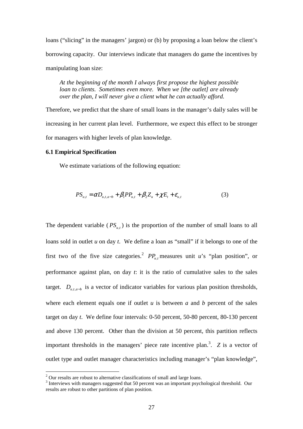loans ("slicing" in the managers' jargon) or (b) by proposing a loan below the client's borrowing capacity. Our interviews indicate that managers do game the incentives by manipulating loan size:

*At the beginning of the month I always first propose the highest possible loan to clients. Sometimes even more. When we [the outlet] are already over the plan, I will never give a client what he can actually afford.* 

Therefore, we predict that the share of small loans in the manager's daily sales will be increasing in her current plan level. Furthermore, we expect this effect to be stronger for managers with higher levels of plan knowledge.

### **6.1 Empirical Specification**

 $\overline{a}$ 

We estimate variations of the following equation:

$$
PS_{u,t} = \alpha D_{u,t,a-b} + \beta_1 P P_{u,t} + \beta_2 Z_u + \chi E_t + \varepsilon_{u,t}
$$
 (3)

The dependent variable  $(PS_{u,t})$  is the proportion of the number of small loans to all loans sold in outlet *u* on day *t*. We define a loan as "small" if it belongs to one of the first two of the five size categories.<sup>2</sup>  $PP_{u,t}$  measures unit *u*'s "plan position", or performance against plan, on day *t*: it is the ratio of cumulative sales to the sales target.  $D_{u,t,a-b}$  is a vector of indicator variables for various plan position thresholds, where each element equals one if outlet  $u$  is between  $a$  and  $b$  percent of the sales target on day *t*. We define four intervals: 0-50 percent, 50-80 percent, 80-130 percent and above 130 percent. Other than the division at 50 percent, this partition reflects important thresholds in the managers' piece rate incentive plan.<sup>3</sup>. Z is a vector of outlet type and outlet manager characteristics including manager's "plan knowledge",

 $2^{2}$  Our results are robust to alternative classifications of small and large loans.

 $3$  Interviews with managers suggested that 50 percent was an important psychological threshold. Our results are robust to other partitions of plan position.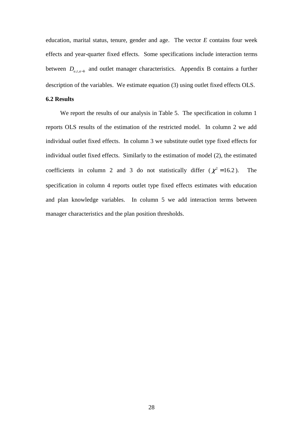education, marital status, tenure, gender and age. The vector *E* contains four week effects and year-quarter fixed effects. Some specifications include interaction terms between  $D_{u,t,a-b}$  and outlet manager characteristics. Appendix B contains a further description of the variables. We estimate equation (3) using outlet fixed effects OLS.

### **6.2 Results**

We report the results of our analysis in Table 5. The specification in column 1 reports OLS results of the estimation of the restricted model. In column 2 we add individual outlet fixed effects. In column 3 we substitute outlet type fixed effects for individual outlet fixed effects. Similarly to the estimation of model (2), the estimated coefficients in column 2 and 3 do not statistically differ  $(\chi^2 = 16.2)$ . The specification in column 4 reports outlet type fixed effects estimates with education and plan knowledge variables. In column 5 we add interaction terms between manager characteristics and the plan position thresholds.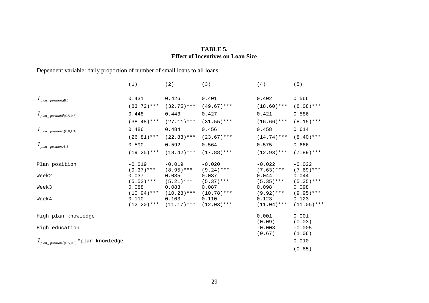# **TABLE 5. Effect of Incentives on Loan Size**

Dependent variable: daily proportion of number of small loans to all loans

|                                                    | (1)                    | (2)                    | (3)                    | (4)                  | (5)                   |
|----------------------------------------------------|------------------------|------------------------|------------------------|----------------------|-----------------------|
|                                                    |                        |                        |                        |                      |                       |
| $I_{plan\_position \leq 0.5}$                      | 0.431                  | 0.426                  | 0.401                  | 0.402                | 0.566                 |
|                                                    | $(83.72)$ ***          | $(32.75)$ ***          | $(49.67)$ ***          | $(18.60)$ ***        | $(8.08)$ ***          |
| $I_{plan\_position \in (0.5,0.8]}$                 | 0.448                  | 0.443                  | 0.427                  | 0.421                | 0.586                 |
|                                                    | $(38.48)$ ***          | $(27.11)$ ***          | $(31.55)***$           | $(16.66)$ ***        | $(8.15)$ ***          |
| $I_{plan\_position \in (0.8,1.3]}$                 | 0.486                  | 0.484                  | 0.456                  | 0.458                | 0.614                 |
|                                                    | $(26.81)$ ***          | $(22.83)$ ***          | $(23.67)$ ***          | $(14.74)$ ***        | $(8.40)$ ***          |
| $I_{plan\_position>1.3}$                           | 0.590                  | 0.592                  | 0.564                  | 0.575                | 0.666                 |
|                                                    | $(19.25)$ ***          | $(18.42)$ ***          | $(17.88)$ ***          | $(12.93)***$         | $(7.89)$ ***          |
| Plan position                                      | $-0.019$               | $-0.019$               | $-0.020$               | $-0.022$             | $-0.022$              |
|                                                    | $(9.37)$ ***           | $(8.95)$ ***           | $(9.24)$ ***           | $(7.63)$ ***         | $(7.69)$ ***          |
| Week2                                              | 0.037                  | 0.035                  | 0.037                  | 0.044                | 0.044                 |
|                                                    | $(5.52)$ ***           | $(5.21)$ ***           | $(5.37)$ ***           | $(5.35)$ ***         | $(5.35)$ ***          |
| Week3                                              | 0.088<br>$(10.94)$ *** | 0.083<br>$(10.28)$ *** | 0.087<br>$(10.78)$ *** | 0.098<br>$(9.92)***$ | 0.098<br>$(9.95)$ *** |
| Week4                                              | 0.110                  | 0.103                  | 0.110                  | 0.123                | 0.123                 |
|                                                    | $(12.20)$ ***          | $(11.17)$ ***          | $(12.03)$ ***          | $(11.04)$ ***        | $(11.05)$ ***         |
| High plan knowledge                                |                        |                        |                        | 0.001                | 0.001                 |
|                                                    |                        |                        |                        | (0.09)               | (0.03)                |
| High education                                     |                        |                        |                        | $-0.003$             | $-0.005$              |
|                                                    |                        |                        |                        | (0.67)               | (1.06)                |
| $I_{plan\_position \in (0.5,0.8]}$ *plan knowledge |                        |                        |                        |                      | 0.010                 |
|                                                    |                        |                        |                        |                      | (0.85)                |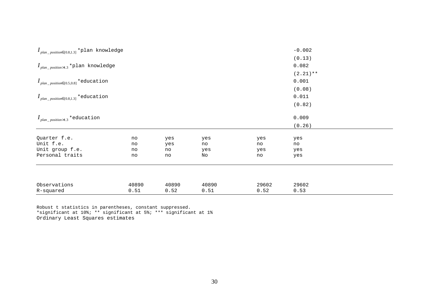| $I_{plan\_position \in (0.8,1.3]}$ *plan knowledge | $-0.002$ |       |       |       |             |  |
|----------------------------------------------------|----------|-------|-------|-------|-------------|--|
|                                                    |          |       |       |       | (0.13)      |  |
| $I_{plan\_position>1.3}$ *plan knowledge           |          |       |       |       | 0.082       |  |
|                                                    |          |       |       |       | $(2.21)$ ** |  |
| $I_{plan\_position \in (0.5,0.8]} *$ education     | 0.001    |       |       |       |             |  |
|                                                    | (0.08)   |       |       |       |             |  |
| $I_{plan\_position \in (0.8,1.3]} *$ education     |          |       |       |       | 0.011       |  |
|                                                    |          |       |       |       | (0.82)      |  |
|                                                    |          |       |       |       |             |  |
| $I_{plan\_position>1.3}$ *education                |          |       |       |       | 0.009       |  |
|                                                    |          |       |       |       | (0.26)      |  |
| Quarter f.e.                                       | no       | yes   | yes   | yes   | yes         |  |
| Unit f.e.                                          | no       | yes   | no    | no    | no          |  |
| Unit group f.e.                                    | no       | no    | yes   | yes   | yes         |  |
| Personal traits                                    | no       | no    | No    | no    | yes         |  |
|                                                    |          |       |       |       |             |  |
|                                                    |          |       |       |       |             |  |
| Observations                                       | 40890    | 40890 | 40890 | 29602 | 29602       |  |
| R-squared                                          | 0.51     | 0.52  | 0.51  | 0.52  | 0.53        |  |

Robust t statistics in parentheses, constant suppressed. \*significant at 10%; \*\* significant at 5%; \*\*\* significant at 1%Ordinary Least Squares estimates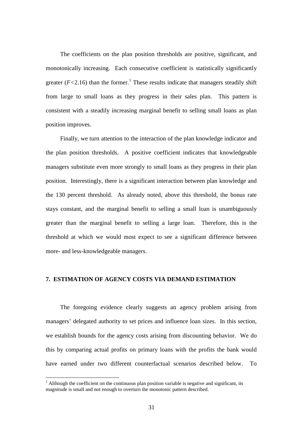The coefficients on the plan position thresholds are positive, significant, and monotonically increasing. Each consecutive coefficient is statistically significantly greater  $(F<2.16)$  than the former.<sup>1</sup> These results indicate that managers steadily shift from large to small loans as they progress in their sales plan. This pattern is consistent with a steadily increasing marginal benefit to selling small loans as plan position improves.

Finally, we turn attention to the interaction of the plan knowledge indicator and the plan position thresholds. A positive coefficient indicates that knowledgeable managers substitute even more strongly to small loans as they progress in their plan position. Interestingly, there is a significant interaction between plan knowledge and the 130 percent threshold. As already noted, above this threshold, the bonus rate stays constant, and the marginal benefit to selling a small loan is unambiguously greater than the marginal benefit to selling a large loan. Therefore, this is the threshold at which we would most expect to see a significant difference between more- and less-knowledgeable managers.

### **7. ESTIMATION OF AGENCY COSTS VIA DEMAND ESTIMATION**

The foregoing evidence clearly suggests an agency problem arising from managers' delegated authority to set prices and influence loan sizes. In this section, we establish bounds for the agency costs arising from discounting behavior. We do this by comparing actual profits on primary loans with the profits the bank would have earned under two different counterfactual scenarios described below. To

 $\overline{a}$ 

 $<sup>1</sup>$  Although the coefficient on the continuous plan position variable is negative and significant, its</sup> magnitude is small and not enough to overturn the monotonic pattern described.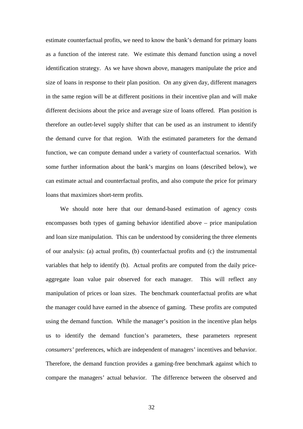estimate counterfactual profits, we need to know the bank's demand for primary loans as a function of the interest rate. We estimate this demand function using a novel identification strategy. As we have shown above, managers manipulate the price and size of loans in response to their plan position. On any given day, different managers in the same region will be at different positions in their incentive plan and will make different decisions about the price and average size of loans offered. Plan position is therefore an outlet-level supply shifter that can be used as an instrument to identify the demand curve for that region. With the estimated parameters for the demand function, we can compute demand under a variety of counterfactual scenarios. With some further information about the bank's margins on loans (described below), we can estimate actual and counterfactual profits, and also compute the price for primary loans that maximizes short-term profits.

We should note here that our demand-based estimation of agency costs encompasses both types of gaming behavior identified above – price manipulation and loan size manipulation. This can be understood by considering the three elements of our analysis: (a) actual profits, (b) counterfactual profits and (c) the instrumental variables that help to identify (b). Actual profits are computed from the daily priceaggregate loan value pair observed for each manager. This will reflect any manipulation of prices or loan sizes. The benchmark counterfactual profits are what the manager could have earned in the absence of gaming. These profits are computed using the demand function. While the manager's position in the incentive plan helps us to identify the demand function's parameters, these parameters represent *consumers'* preferences, which are independent of managers' incentives and behavior. Therefore, the demand function provides a gaming-free benchmark against which to compare the managers' actual behavior. The difference between the observed and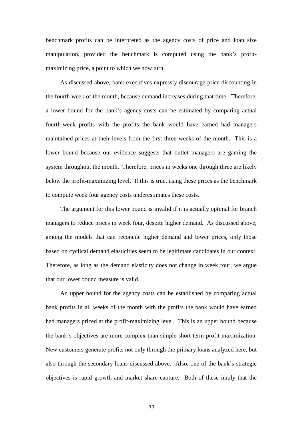benchmark profits can be interpreted as the agency costs of price and loan size manipulation, provided the benchmark is computed using the bank's profitmaximizing price, a point to which we now turn.

As discussed above, bank executives expressly discourage price discounting in the fourth week of the month, because demand increases during that time. Therefore, a lower bound for the bank's agency costs can be estimated by comparing actual fourth-week profits with the profits the bank would have earned had managers maintained prices at their levels from the first three weeks of the month. This is a lower bound because our evidence suggests that outlet managers are gaming the system throughout the month. Therefore, prices in weeks one through three are likely below the profit-maximizing level. If this is true, using these prices as the benchmark to compute week four agency costs underestimates these costs.

The argument for this lower bound is invalid if it is actually optimal for branch managers to reduce prices in week four, despite higher demand. As discussed above, among the models that can reconcile higher demand and lower prices, only those based on cyclical demand elasticities seem to be legitimate candidates in our context. Therefore, as long as the demand elasticity does not change in week four, we argue that our lower bound measure is valid.

An upper bound for the agency costs can be established by comparing actual bank profits in all weeks of the month with the profits the bank would have earned had managers priced at the profit-maximizing level. This is an upper bound because the bank's objectives are more complex than simple short-term profit maximization. New customers generate profits not only through the primary loans analyzed here, but also through the secondary loans discussed above. Also, one of the bank's strategic objectives is rapid growth and market share capture. Both of these imply that the

33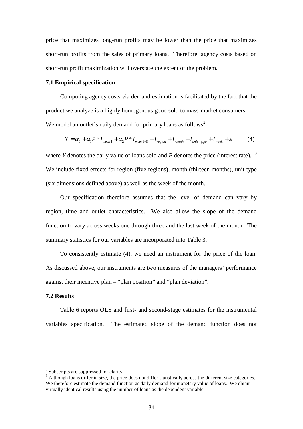price that maximizes long-run profits may be lower than the price that maximizes short-run profits from the sales of primary loans. Therefore, agency costs based on short-run profit maximization will overstate the extent of the problem.

### **7.1 Empirical specification**

Computing agency costs via demand estimation is facilitated by the fact that the product we analyze is a highly homogenous good sold to mass-market consumers. We model an outlet's daily demand for primary loans as follows<sup>2</sup>:

$$
Y = \alpha_0 + \alpha_1 P^* I_{week4} + \alpha_2 P^* I_{week1-3} + I_{region} + I_{month} + I_{unit\_type} + I_{week} + \varepsilon,
$$
 (4)

where *Y* denotes the daily value of loans sold and *P* denotes the price (interest rate).  $3$ We include fixed effects for region (five regions), month (thirteen months), unit type (six dimensions defined above) as well as the week of the month.

Our specification therefore assumes that the level of demand can vary by region, time and outlet characteristics. We also allow the slope of the demand function to vary across weeks one through three and the last week of the month. The summary statistics for our variables are incorporated into Table 3.

To consistently estimate (4), we need an instrument for the price of the loan. As discussed above, our instruments are two measures of the managers' performance against their incentive plan – "plan position" and "plan deviation".

### **7.2 Results**

 $\overline{a}$ 

Table 6 reports OLS and first- and second-stage estimates for the instrumental variables specification. The estimated slope of the demand function does not

<sup>&</sup>lt;sup>2</sup> Subscripts are suppressed for clarity

<sup>&</sup>lt;sup>3</sup> Although loans differ in size, the price does not differ statistically across the different size categories. We therefore estimate the demand function as daily demand for monetary value of loans. We obtain virtually identical results using the number of loans as the dependent variable.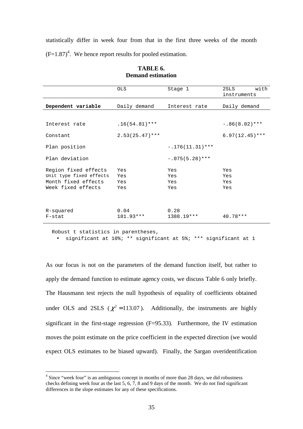statistically differ in week four from that in the first three weeks of the month  $(F=1.87)^4$ . We hence report results for pooled estimation.

|                                                                                              | OLS.                     | Stage 1                  | with<br>2SLS<br>instruments |
|----------------------------------------------------------------------------------------------|--------------------------|--------------------------|-----------------------------|
| Dependent variable                                                                           | Daily demand             | Interest rate            | Daily demand                |
|                                                                                              |                          |                          |                             |
| Interest rate                                                                                | $.16(54.81)$ ***         |                          | $-.86(8.02)$ ***            |
| Constant                                                                                     | $2.53(25.47)$ ***        |                          | $6.97(12.45)$ ***           |
| Plan position                                                                                |                          | $-.176(11.31)$ ***       |                             |
| Plan deviation                                                                               |                          | $-.075(5.28)$ ***        |                             |
| Region fixed effects<br>Unit type fixed effects<br>Month fixed effects<br>Week fixed effects | Yes<br>Yes<br>Yes<br>Yes | Yes<br>Yes<br>Yes<br>Yes | Yes<br>Yes<br>Yes<br>Yes    |
| R-squared<br>F-stat                                                                          | 0.04<br>181.93***        | 0.28<br>1388.19***       | $40.78***$                  |

### **TABLE 6. Demand estimation**

Robust t statistics in parentheses,

 $\overline{a}$ 

• significant at 10%; \*\* significant at 5%; \*\*\* significant at 1

As our focus is not on the parameters of the demand function itself, but rather to apply the demand function to estimate agency costs, we discuss Table 6 only briefly. The Hausmann test rejects the null hypothesis of equality of coefficients obtained under OLS and 2SLS ( $\chi^2$  = 113.07). Additionally, the instruments are highly significant in the first-stage regression (F=95.33). Furthermore, the IV estimation moves the point estimate on the price coefficient in the expected direction (we would expect OLS estimates to be biased upward). Finally, the Sargan overidentification

<sup>&</sup>lt;sup>4</sup> Since "week four" is an ambiguous concept in months of more than 28 days, we did robustness checks defining week four as the last 5, 6, 7, 8 and 9 days of the month. We do not find significant differences in the slope estimates for any of these specifications.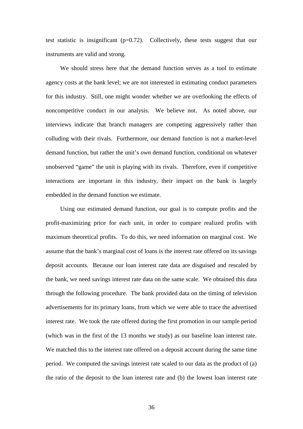test statistic is insignificant  $(p=0.72)$ . Collectively, these tests suggest that our instruments are valid and strong.

We should stress here that the demand function serves as a tool to estimate agency costs at the bank level; we are not interested in estimating conduct parameters for this industry. Still, one might wonder whether we are overlooking the effects of noncompetitive conduct in our analysis. We believe not. As noted above, our interviews indicate that branch managers are competing aggressively rather than colluding with their rivals. Furthermore, our demand function is not a market-level demand function, but rather the unit's *own* demand function, conditional on whatever unobserved "game" the unit is playing with its rivals. Therefore, even if competitive interactions are important in this industry, their impact on the bank is largely embedded in the demand function we estimate.

Using our estimated demand function, our goal is to compute profits and the profit-maximizing price for each unit, in order to compare realized profits with maximum theoretical profits. To do this, we need information on marginal cost. We assume that the bank's marginal cost of loans is the interest rate offered on its savings deposit accounts. Because our loan interest rate data are disguised and rescaled by the bank, we need savings interest rate data on the same scale. We obtained this data through the following procedure. The bank provided data on the timing of television advertisements for its primary loans, from which we were able to trace the advertised interest rate. We took the rate offered during the first promotion in our sample period (which was in the first of the 13 months we study) as our baseline loan interest rate. We matched this to the interest rate offered on a deposit account during the same time period. We computed the savings interest rate scaled to our data as the product of (a) the ratio of the deposit to the loan interest rate and (b) the lowest loan interest rate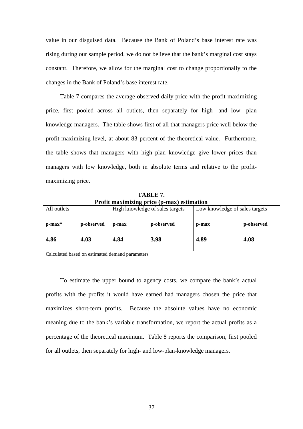value in our disguised data. Because the Bank of Poland's base interest rate was rising during our sample period, we do not believe that the bank's marginal cost stays constant. Therefore, we allow for the marginal cost to change proportionally to the changes in the Bank of Poland's base interest rate.

Table 7 compares the average observed daily price with the profit-maximizing price, first pooled across all outlets, then separately for high- and low- plan knowledge managers. The table shows first of all that managers price well below the profit-maximizing level, at about 83 percent of the theoretical value. Furthermore, the table shows that managers with high plan knowledge give lower prices than managers with low knowledge, both in absolute terms and relative to the profitmaximizing price.

**TABLE 7. Profit maximizing price (p-max) estimation** 

| All outlets  | High knowledge of sales targets |          | Low knowledge of sales targets |       |            |
|--------------|---------------------------------|----------|--------------------------------|-------|------------|
| $p$ -max $*$ | p-observed                      | $p$ -max | p-observed                     | p-max | p-observed |
| 4.86         | 4.03                            | 4.84     | 3.98                           | 4.89  | 4.08       |

Calculated based on estimated demand parameters

To estimate the upper bound to agency costs, we compare the bank's actual profits with the profits it would have earned had managers chosen the price that maximizes short-term profits. Because the absolute values have no economic meaning due to the bank's variable transformation, we report the actual profits as a percentage of the theoretical maximum. Table 8 reports the comparison, first pooled for all outlets, then separately for high- and low-plan-knowledge managers.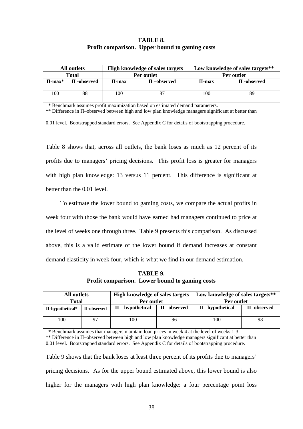### **TABLE 8. Profit comparison. Upper bound to gaming costs**

|             | All outlets     |            | <b>High knowledge of sales targets</b> | Low knowledge of sales targets** |                 |  |
|-------------|-----------------|------------|----------------------------------------|----------------------------------|-----------------|--|
| Total       |                 |            | Per outlet                             | Per outlet                       |                 |  |
| $\Pi$ -max* | $\Pi$ -observed | $\Pi$ -max | $\Pi$ –observed                        | $\Pi$ -max                       | $\Pi$ -observed |  |
|             |                 |            |                                        |                                  |                 |  |
| 100         | 88              | 100        |                                        | 100                              | 89              |  |
|             |                 |            |                                        |                                  |                 |  |

\* Benchmark assumes profit maximization based on estimated demand parameters.

\*\* Difference in Π–observed between high and low plan knowledge managers significant at better than

0.01 level. Bootstrapped standard errors. See Appendix C for details of bootstrapping procedure.

Table 8 shows that, across all outlets, the bank loses as much as 12 percent of its profits due to managers' pricing decisions. This profit loss is greater for managers with high plan knowledge: 13 versus 11 percent. This difference is significant at better than the 0.01 level.

To estimate the lower bound to gaming costs, we compare the actual profits in week four with those the bank would have earned had managers continued to price at the level of weeks one through three. Table 9 presents this comparison. As discussed above, this is a valid estimate of the lower bound if demand increases at constant demand elasticity in week four, which is what we find in our demand estimation.

**TABLE 9. Profit comparison. Lower bound to gaming costs** 

| All outlets<br>Total |    | <b>High knowledge of sales targets</b><br>Per outlet |    | Low knowledge of sales targets**<br>Per outlet |    |
|----------------------|----|------------------------------------------------------|----|------------------------------------------------|----|
|                      |    |                                                      |    |                                                |    |
| 100                  | 97 | 100                                                  | 96 | 100                                            | 98 |

\* Benchmark assumes that managers maintain loan prices in week 4 at the level of weeks 1-3.

\*\* Difference in Π–observed between high and low plan knowledge managers significant at better than 0.01 level. Bootstrapped standard errors. See Appendix C for details of bootstrapping procedure.

Table 9 shows that the bank loses at least three percent of its profits due to managers' pricing decisions. As for the upper bound estimated above, this lower bound is also higher for the managers with high plan knowledge: a four percentage point loss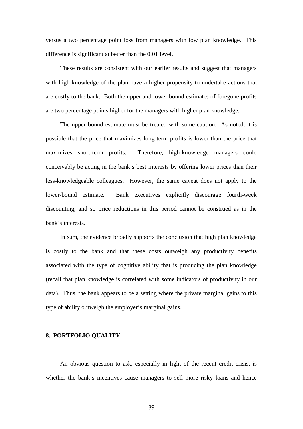versus a two percentage point loss from managers with low plan knowledge. This difference is significant at better than the 0.01 level.

These results are consistent with our earlier results and suggest that managers with high knowledge of the plan have a higher propensity to undertake actions that are costly to the bank. Both the upper and lower bound estimates of foregone profits are two percentage points higher for the managers with higher plan knowledge.

The upper bound estimate must be treated with some caution. As noted, it is possible that the price that maximizes long-term profits is lower than the price that maximizes short-term profits. Therefore, high-knowledge managers could conceivably be acting in the bank's best interests by offering lower prices than their less-knowledgeable colleagues. However, the same caveat does not apply to the lower-bound estimate. Bank executives explicitly discourage fourth-week discounting, and so price reductions in this period cannot be construed as in the bank's interests.

In sum, the evidence broadly supports the conclusion that high plan knowledge is costly to the bank and that these costs outweigh any productivity benefits associated with the type of cognitive ability that is producing the plan knowledge (recall that plan knowledge is correlated with some indicators of productivity in our data). Thus, the bank appears to be a setting where the private marginal gains to this type of ability outweigh the employer's marginal gains.

### **8. PORTFOLIO QUALITY**

An obvious question to ask, especially in light of the recent credit crisis, is whether the bank's incentives cause managers to sell more risky loans and hence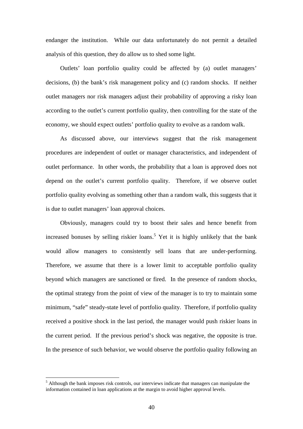endanger the institution. While our data unfortunately do not permit a detailed analysis of this question, they do allow us to shed some light.

Outlets' loan portfolio quality could be affected by (a) outlet managers' decisions, (b) the bank's risk management policy and (c) random shocks. If neither outlet managers nor risk managers adjust their probability of approving a risky loan according to the outlet's current portfolio quality, then controlling for the state of the economy, we should expect outlets' portfolio quality to evolve as a random walk.

As discussed above, our interviews suggest that the risk management procedures are independent of outlet or manager characteristics, and independent of outlet performance. In other words, the probability that a loan is approved does not depend on the outlet's current portfolio quality. Therefore, if we observe outlet portfolio quality evolving as something other than a random walk, this suggests that it is due to outlet managers' loan approval choices.

Obviously, managers could try to boost their sales and hence benefit from increased bonuses by selling riskier loans.<sup>5</sup> Yet it is highly unlikely that the bank would allow managers to consistently sell loans that are under-performing. Therefore, we assume that there is a lower limit to acceptable portfolio quality beyond which managers are sanctioned or fired. In the presence of random shocks, the optimal strategy from the point of view of the manager is to try to maintain some minimum, "safe" steady-state level of portfolio quality. Therefore, if portfolio quality received a positive shock in the last period, the manager would push riskier loans in the current period. If the previous period's shock was negative, the opposite is true. In the presence of such behavior, we would observe the portfolio quality following an

 $\overline{a}$ 

<sup>&</sup>lt;sup>5</sup> Although the bank imposes risk controls, our interviews indicate that managers can manipulate the information contained in loan applications at the margin to avoid higher approval levels.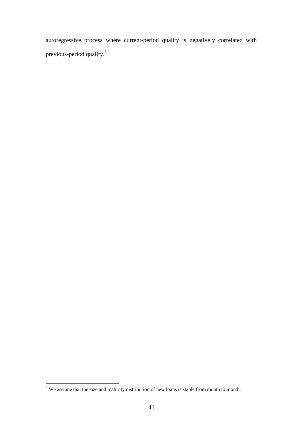autoregressive process where current-period quality is negatively correlated with previous-period quality.<sup>6</sup>

<sup>&</sup>lt;sup>6</sup> We assume that the size and maturity distribution of new loans is stable from month to month.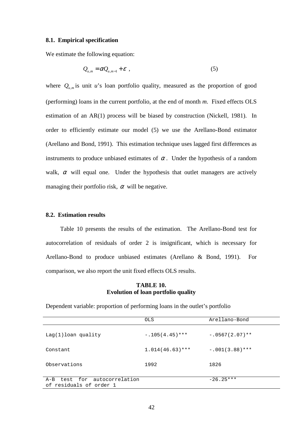### **8.1. Empirical specification**

We estimate the following equation:

$$
Q_{u,m} = \alpha Q_{u,m-1} + \varepsilon \tag{5}
$$

where  $Q_{u,m}$  is unit *u*'s loan portfolio quality, measured as the proportion of good (performing) loans in the current portfolio, at the end of month *m*. Fixed effects OLS estimation of an AR(1) process will be biased by construction (Nickell, 1981). In order to efficiently estimate our model (5) we use the Arellano-Bond estimator (Arellano and Bond, 1991). This estimation technique uses lagged first differences as instruments to produce unbiased estimates of  $\alpha$ . Under the hypothesis of a random walk,  $\alpha$  will equal one. Under the hypothesis that outlet managers are actively managing their portfolio risk,  $\alpha$  will be negative.

### **8.2. Estimation results**

Table 10 presents the results of the estimation. The Arellano-Bond test for autocorrelation of residuals of order 2 is insignificant, which is necessary for Arellano-Bond to produce unbiased estimates (Arellano & Bond, 1991). For comparison, we also report the unit fixed effects OLS results.

### **TABLE 10. Evolution of loan portfolio quality**

Dependent variable: proportion of performing loans in the outlet's portfolio

|                                                         | <b>OLS</b>         | Arellano-Bond     |
|---------------------------------------------------------|--------------------|-------------------|
| $Laq(1)$ loan quality                                   | $-.105(4.45)$ ***  | $-.0567(2.07)$ ** |
| Constant                                                | $1.014(46.63)$ *** | $-.001(3.88)$ *** |
| Observations                                            | 1992               | 1826              |
| A-B test for autocorrelation<br>of residuals of order 1 |                    | $-26.25***$       |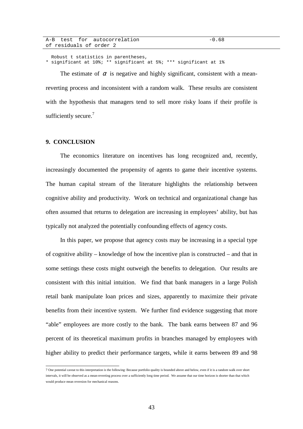|                         | A-B test for autocorrelation | $-0.68$ |
|-------------------------|------------------------------|---------|
| of residuals of order 2 |                              |         |

 Robust t statistics in parentheses, \* significant at 10%; \*\* significant at 5%; \*\*\* significant at 1%

The estimate of  $\alpha$  is negative and highly significant, consistent with a meanreverting process and inconsistent with a random walk. These results are consistent with the hypothesis that managers tend to sell more risky loans if their profile is sufficiently secure.<sup>7</sup>

### **9. CONCLUSION**

The economics literature on incentives has long recognized and, recently, increasingly documented the propensity of agents to game their incentive systems. The human capital stream of the literature highlights the relationship between cognitive ability and productivity. Work on technical and organizational change has often assumed that returns to delegation are increasing in employees' ability, but has typically not analyzed the potentially confounding effects of agency costs.

In this paper, we propose that agency costs may be increasing in a special type of cognitive ability – knowledge of how the incentive plan is constructed – and that in some settings these costs might outweigh the benefits to delegation. Our results are consistent with this initial intuition. We find that bank managers in a large Polish retail bank manipulate loan prices and sizes, apparently to maximize their private benefits from their incentive system. We further find evidence suggesting that more "able" employees are more costly to the bank. The bank earns between 87 and 96 percent of its theoretical maximum profits in branches managed by employees with higher ability to predict their performance targets, while it earns between 89 and 98

 7 One potential caveat to this interpretation is the following: Because portfolio quality is bounded above and below, even if it is a random walk over short intervals, it will be observed as a mean-reverting process over a sufficiently long time period. We assume that our time horizon is shorter than that which would produce mean reversion for mechanical reasons.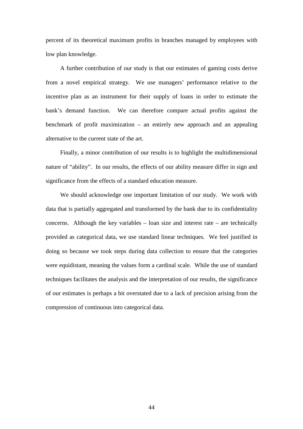percent of its theoretical maximum profits in branches managed by employees with low plan knowledge.

A further contribution of our study is that our estimates of gaming costs derive from a novel empirical strategy. We use managers' performance relative to the incentive plan as an instrument for their supply of loans in order to estimate the bank's demand function. We can therefore compare actual profits against the benchmark of profit maximization – an entirely new approach and an appealing alternative to the current state of the art.

Finally, a minor contribution of our results is to highlight the multidimensional nature of "ability". In our results, the effects of our ability measure differ in sign and significance from the effects of a standard education measure.

We should acknowledge one important limitation of our study. We work with data that is partially aggregated and transformed by the bank due to its confidentiality concerns. Although the key variables – loan size and interest rate – are technically provided as categorical data, we use standard linear techniques. We feel justified in doing so because we took steps during data collection to ensure that the categories were equidistant, meaning the values form a cardinal scale. While the use of standard techniques facilitates the analysis and the interpretation of our results, the significance of our estimates is perhaps a bit overstated due to a lack of precision arising from the compression of continuous into categorical data.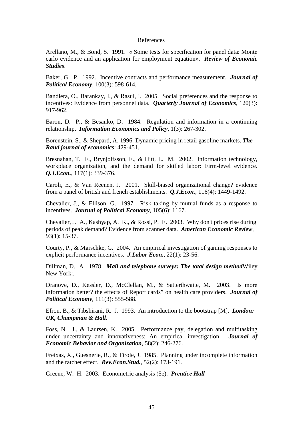#### References

Arellano, M., & Bond, S. 1991. « Some tests for specification for panel data: Monte carlo evidence and an application for employment equation». *Review of Economic Studies*.

Baker, G. P. 1992. Incentive contracts and performance measurement. *Journal of Political Economy*, 100(3): 598-614.

Bandiera, O., Barankay, I., & Rasul, I. 2005. Social preferences and the response to incentives: Evidence from personnel data. *Quarterly Journal of Economics*, 120(3): 917-962.

Baron, D. P., & Besanko, D. 1984. Regulation and information in a continuing relationship. *Information Economics and Policy*, 1(3): 267-302.

Borenstein, S., & Shepard, A. 1996. Dynamic pricing in retail gasoline markets. *The Rand journal of economics*: 429-451.

Bresnahan, T. F., Brynjolfsson, E., & Hitt, L. M. 2002. Information technology, workplace organization, and the demand for skilled labor: Firm-level evidence. *Q.J.Econ.*, 117(1): 339-376.

Caroli, E., & Van Reenen, J. 2001. Skill-biased organizational change? evidence from a panel of british and french establishments. *Q.J.Econ.*, 116(4): 1449-1492.

Chevalier, J., & Ellison, G. 1997. Risk taking by mutual funds as a response to incentives. *Journal of Political Economy*, 105(6): 1167.

Chevalier, J. A., Kashyap, A. K., & Rossi, P. E. 2003. Why don't prices rise during periods of peak demand? Evidence from scanner data. *American Economic Review*, 93(1): 15-37.

Courty, P., & Marschke, G. 2004. An empirical investigation of gaming responses to explicit performance incentives. *J.Labor Econ.*, 22(1): 23-56.

Dillman, D. A. 1978. *Mail and telephone surveys: The total design method*Wiley New York:

Dranove, D., Kessler, D., McClellan, M., & Satterthwaite, M. 2003. Is more information better? the effects of Report cards" on health care providers. *Journal of Political Economy*, 111(3): 555-588.

Efron, B., & Tibshirani, R. J. 1993. An introduction to the bootstrap [M]. *London: UK, Champman & Hall*.

Foss, N. J., & Laursen, K. 2005. Performance pay, delegation and multitasking under uncertainty and innovativeness: An empirical investigation. *Journal of Economic Behavior and Organization*, 58(2): 246-276.

Freixas, X., Guesnerie, R., & Tirole, J. 1985. Planning under incomplete information and the ratchet effect. *Rev.Econ.Stud.*, 52(2): 173-191.

Greene, W. H. 2003. Econometric analysis (5e). *Prentice Hall*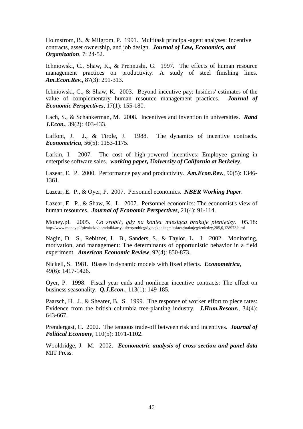Holmstrom, B., & Milgrom, P. 1991. Multitask principal-agent analyses: Incentive contracts, asset ownership, and job design. *Journal of Law, Economics, and Organization*, 7: 24-52.

Ichniowski, C., Shaw, K., & Prennushi, G. 1997. The effects of human resource management practices on productivity: A study of steel finishing lines. *Am.Econ.Rev.*, 87(3): 291-313.

Ichniowski, C., & Shaw, K. 2003. Beyond incentive pay: Insiders' estimates of the value of complementary human resource management practices. *Journal of Economic Perspectives*, 17(1): 155-180.

Lach, S., & Schankerman, M. 2008. Incentives and invention in universities. *Rand J.Econ.*, 39(2): 403-433.

Laffont, J. J., & Tirole, J. 1988. The dynamics of incentive contracts. *Econometrica*, 56(5): 1153-1175.

Larkin, I. 2007. The cost of high-powered incentives: Employee gaming in enterprise software sales. *working paper, University of California at Berkeley*.

Lazear, E. P. 2000. Performance pay and productivity. *Am.Econ.Rev.*, 90(5): 1346- 1361.

Lazear, E. P., & Oyer, P. 2007. Personnel economics. *NBER Working Paper*.

Lazear, E. P., & Shaw, K. L. 2007. Personnel economics: The economist's view of human resources. *Journal of Economic Perspectives*, 21(4): 91-114.

Money.pl. 2005. *Co zrobić, gdy na koniec miesiąca brakuje pieniędzy.* 05.18: http://www.money.pl/pieniadze/poradniki/artykul/co;zrobic;gdy;na;koniec;miesiaca;brakuje;pieniedzy,205,0,128973.html

Nagin, D. S., Rebitzer, J. B., Sanders, S., & Taylor, L. J. 2002. Monitoring, motivation, and management: The determinants of opportunistic behavior in a field experiment. *American Economic Review*, 92(4): 850-873.

Nickell, S. 1981. Biases in dynamic models with fixed effects. *Econometrica*, 49(6): 1417-1426.

Oyer, P. 1998. Fiscal year ends and nonlinear incentive contracts: The effect on business seasonality. *Q.J.Econ.*, 113(1): 149-185.

Paarsch, H. J., & Shearer, B. S. 1999. The response of worker effort to piece rates: Evidence from the british columbia tree-planting industry. *J.Hum.Resour.*, 34(4): 643-667.

Prendergast, C. 2002. The tenuous trade-off between risk and incentives. *Journal of Political Economy*, 110(5): 1071-1102.

Wooldridge, J. M. 2002. *Econometric analysis of cross section and panel data*  MIT Press.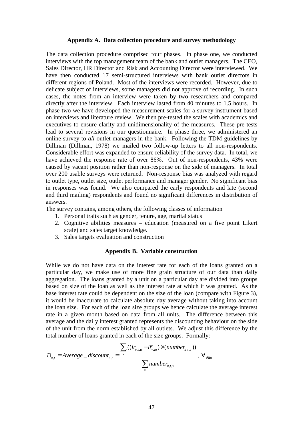### **Appendix A. Data collection procedure and survey methodology**

The data collection procedure comprised four phases. In phase one, we conducted interviews with the top management team of the bank and outlet managers. The CEO, Sales Director, HR Director and Risk and Accounting Director were interviewed. We have then conducted 17 semi-structured interviews with bank outlet directors in different regions of Poland. Most of the interviews were recorded. However, due to delicate subject of interviews, some managers did not approve of recording. In such cases, the notes from an interview were taken by two researchers and compared directly after the interview. Each interview lasted from 40 minutes to 1.5 hours. In phase two we have developed the measurement scales for a survey instrument based on interviews and literature review. We then pre-tested the scales with academics and executives to ensure clarity and unidimensionality of the measures. These pre-tests lead to several revisions in our questionnaire. In phase three, we administered an online survey to *all* outlet managers in the bank. Following the TDM guidelines by Dillman (Dillman, 1978) we mailed two follow-up letters to all non-respondents. Considerable effort was expanded to ensure reliability of the survey data. In total, we have achieved the response rate of over 86%. Out of non-respondents, 43% were caused by vacant position rather than non-response on the side of managers. In total over 200 usable surveys were returned. Non-response bias was analyzed with regard to outlet type, outlet size, outlet performance and manager gender. No significant bias in responses was found. We also compared the early respondents and late (second and third mailing) respondents and found no significant differences in distribution of answers.

The survey contains, among others, the following classes of information

- 1. Personal traits such as gender, tenure, age, marital status
- 2. Cognitive abilities measures education (measured on a five point Likert scale) and sales target knowledge.
- 3. Sales targets evaluation and construction

### **Appendix B. Variable construction**

While we do not have data on the interest rate for each of the loans granted on a particular day, we make use of more fine grain structure of our data than daily aggregation. The loans granted by a unit on a particular day are divided into groups based on size of the loan as well as the interest rate at which it was granted. As the base interest rate could be dependent on the size of the loan (compare with Figure 3), it would be inaccurate to calculate absolute day average without taking into account the loan size. For each of the loan size groups we hence calculate the average interest rate in a given month based on data from all units. The difference between this average and the daily interest granted represents the discounting behaviour on the side of the unit from the norm established by all outlets. We adjust this difference by the total number of loans granted in each of the size groups. Formally:

$$
D_{u,t} = Average\_discount_{u,t} = \frac{\sum_{v} ((ir_{v,t,u} - i\overline{r}_{v,m}) \times (number_{u,t,v}))}{\sum_{v} number_{u,t,v}}, \ \forall_{t \in m}
$$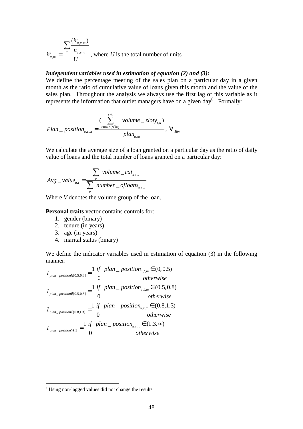$$
i\overline{r}_{v,m} = \frac{\sum_{u} \frac{(ir_{u,v,m})}{n_{u,v,m}}}{U}
$$
, where *U* is the total number of units

### *Independent variables used in estimation of equation (2) and (3):*

We define the percentage meeting of the sales plan on a particular day in a given month as the ratio of cumulative value of loans given this month and the value of the sales plan. Throughout the analysis we always use the first lag of this variable as it represents the information that outlet managers have on a given day<sup>8</sup>. Formally:

$$
Plan \_\ position_{u,t,m} = \frac{(\sum_{t=\min(t\in m)}^{t-1} volume \_\ zloty_{t,u})}{plan_{u,m}}, \ \forall_{t\in m}
$$

We calculate the average size of a loan granted on a particular day as the ratio of daily value of loans and the total number of loans granted on a particular day:

$$
Avg\_value_{u,t} = \frac{\sum_{v} volume\_cat_{u,t,v}}{\sum_{v} number\_ofloans_{u,t,v}}
$$

Where *V* denotes the volume group of the loan.

**Personal traits** vector contains controls for:

- 1. gender (binary)
- 2. tenure (in years)
- 3. age (in years)
- 4. marital status (binary)

We define the indicator variables used in estimation of equation (3) in the following manner:

$$
I_{plan\_position \in (0.5,0.8]} = \frac{1 \text{ if } plan\_position_{u,t,m} \in (0,0.5)}{0} \quad \text{otherwise}
$$
\n
$$
I_{plan\_position \in (0.5,0.8]} = \frac{1 \text{ if } plan\_position_{u,t,m} \in (0.5,0.8)}{0} \quad \text{otherwise}
$$
\n
$$
I_{plan\_position \in (0.8,1.3]} = \frac{1 \text{ if } plan\_position_{u,t,m} \in (0.8,1.3)}{0} \quad \text{otherwise}
$$
\n
$$
I_{plan\_position \in (0.8,1.3]} = \frac{1 \text{ if plan\_position}_{u,t,m} \in (1.3, \infty)}{0} \quad \text{otherwise}
$$

<sup>&</sup>lt;sup>8</sup> Using non-lagged values did not change the results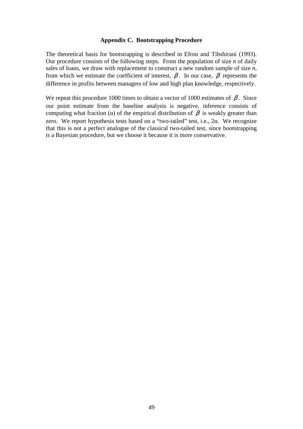### **Appendix C. Bootstrapping Procedure**

The theoretical basis for bootstrapping is described in Efron and Tibshirani (1993). Our procedure consists of the following steps. From the population of size *n* of daily sales of loans, we draw with replacement to construct a new random sample of size *n*, from which we estimate the coefficient of interest,  $\beta$ . In our case,  $\beta$  represents the difference in profits between managers of low and high plan knowledge, respectively.

We repeat this procedure 1000 times to obtain a vector of 1000 estimates of  $\beta$ . Since our point estimate from the baseline analysis is negative, inference consists of computing what fraction ( $\alpha$ ) of the empirical distribution of  $\beta$  is weakly greater than zero. We report hypothesis tests based on a "two-tailed" test, i.e., 2α. We recognize that this is not a perfect analogue of the classical two-tailed test, since bootstrapping is a Bayesian procedure, but we choose it because it is more conservative.